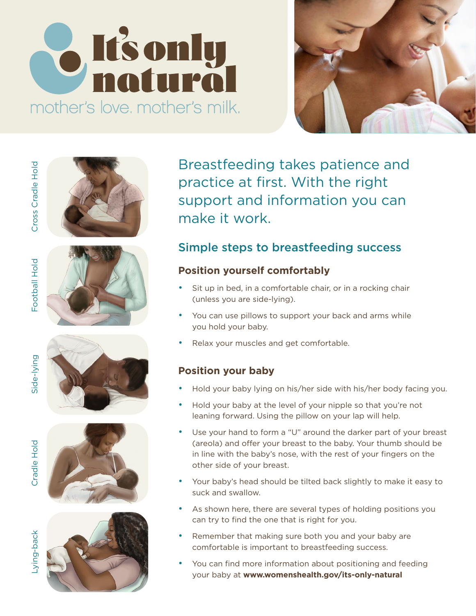# **S** It's only mother's love, mother's milk.





Football Hold

Side-lying











Breastfeeding takes patience and Breastfeeding takes patience and Breastfeeding takes patience and Breastfeeding takes patience and Breastfeeding takes patience and practice at first. With the right support and information you can make it work. make it work. make it work. processe at modernient and in support d  $s$  cunnet and information  $y$ make it work. support and information you

#### **Simple steps to breastfeeding success**  $S = \frac{1}{2}$  steps to breastfeeding successive successive successive successive successive successive successive successive successive successive successive successive successive successive successive successive successive **Position you complete with**

#### Position yourself comfortably Position yourself comfortably Position yourself comfortably (understanding).

- $\sim 20$  km s while you can use pillows to support  $\epsilon$  your back and arms while your back and arms while you can use • Sit up in bed, in a comfortable chair, or in a rocking chair • Relax your muscles and get comfortable. ond parts our mixed worked your baby.
- **Position your baby Position your baby Position your baby Position your baby** you hold your baby. • You can use pillows to support your back and arms while
- Relax your muscles and get comfortable.

#### r Usition your baby **Position your baby** • Use your hand to form a "U" around the darker part of your breast

- (areola) and offer your breast to the baby. Your thumb should be • Hold your baby lying on his/her side with his • Hold your baby lying on his/her side with his/ • Hold your baby lying on his/her side with his/her body facing you.
- Hold your baby at the level of your nipple s leaning forward. Using the pillow on your lap will help. • Hold your baby at the level of your nipple s • Hold your baby at the level of your nipple so that you're not
- $\sim$  As shown here, there are several types of  $\sim$ (areola) and offer your breast to the baby. Your thumb should be  $\epsilon$  at has excelent property of  $\epsilon$ other side of your breast. • Use your hand to form a "U" around the darker part of your breast care only that oner you. Shease to the baby. Tour triams should be<br>in line with the baby's nose, with the rest of your fingers on the comfortable is important to breastfeeding success.
	- $\bullet$  . Your baby's head should be tilted back slight suck and swallow. suck and swallow. • Your baby's head should be tilted back slightly to make it easy to
	- As shown here, there are several types of holding positions you can try to find the one that is right for you.
	- Remember that making sure both you and your baby are comfortable is important to breastfeeding success.
	- You can find more information about positioning and feeding your baby at **[www.womenshealth.gov/its-only-natural](https://www.womenshealth.gov/its-only-natural)**

-ying-back Lying-back

Cradle Hold